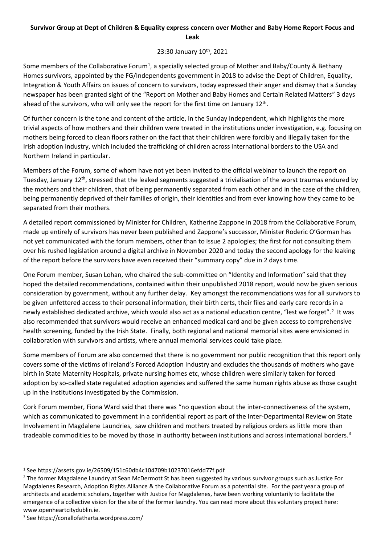## **Survivor Group at Dept of Children & Equality express concern over Mother and Baby Home Report Focus and Leak**

## 23:30 January 10<sup>th</sup>, 2021

Some members of the Collaborative Forum<sup>1</sup>, a specially selected group of Mother and Baby/County & Bethany Homes survivors, appointed by the FG/Independents government in 2018 to advise the Dept of Children, Equality, Integration & Youth Affairs on issues of concern to survivors, today expressed their anger and dismay that a Sunday newspaper has been granted sight of the "Report on Mother and Baby Homes and Certain Related Matters" 3 days ahead of the survivors, who will only see the report for the first time on January  $12<sup>th</sup>$ .

Of further concern is the tone and content of the article, in the Sunday Independent, which highlights the more trivial aspects of how mothers and their children were treated in the institutions under investigation, e.g. focusing on mothers being forced to clean floors rather on the fact that their children were forcibly and illegally taken for the Irish adoption industry, which included the trafficking of children across international borders to the USA and Northern Ireland in particular.

Members of the Forum, some of whom have not yet been invited to the official webinar to launch the report on Tuesday, January  $12<sup>th</sup>$ , stressed that the leaked segments suggested a trivialisation of the worst traumas endured by the mothers and their children, that of being permanently separated from each other and in the case of the children, being permanently deprived of their families of origin, their identities and from ever knowing how they came to be separated from their mothers.

A detailed report commissioned by Minister for Children, Katherine Zappone in 2018 from the Collaborative Forum, made up entirely of survivors has never been published and Zappone's successor, Minister Roderic O'Gorman has not yet communicated with the forum members, other than to issue 2 apologies; the first for not consulting them over his rushed legislation around a digital archive in November 2020 and today the second apology for the leaking of the report before the survivors have even received their "summary copy" due in 2 days time.

One Forum member, Susan Lohan, who chaired the sub-committee on "Identity and Information" said that they hoped the detailed recommendations, contained within their unpublished 2018 report, would now be given serious consideration by government, without any further delay. Key amongst the recommendations was for all survivors to be given unfettered access to their personal information, their birth certs, their files and early care records in a newly established dedicated archive, which would also act as a national education centre, "lest we forget".<sup>2</sup> It was also recommended that survivors would receive an enhanced medical card and be given access to comprehensive health screening, funded by the Irish State. Finally, both regional and national memorial sites were envisioned in collaboration with survivors and artists, where annual memorial services could take place.

Some members of Forum are also concerned that there is no government nor public recognition that this report only covers some of the victims of Ireland's Forced Adoption Industry and excludes the thousands of mothers who gave birth in State Maternity Hospitals, private nursing homes etc, whose children were similarly taken for forced adoption by so-called state regulated adoption agencies and suffered the same human rights abuse as those caught up in the institutions investigated by the Commission.

Cork Forum member, Fiona Ward said that there was "no question about the inter-connectiveness of the system, which as communicated to government in a confidential report as part of the Inter-Departmental Review on State Involvement in Magdalene Laundries, saw children and mothers treated by religious orders as little more than tradeable commodities to be moved by those in authority between institutions and across international borders.<sup>3</sup>

<sup>3</sup> See https://conallofatharta.wordpress.com/

<sup>1</sup> See https://assets.gov.ie/26509/151c60db4c104709b10237016efdd77f.pdf

<sup>&</sup>lt;sup>2</sup> The former Magdalene Laundry at Sean McDermott St has been suggested by various survivor groups such as Justice For Magdalenes Research, Adoption Rights Alliance & the Collaborative Forum as a potential site. For the past year a group of architects and academic scholars, together with Justice for Magdalenes, have been working voluntarily to facilitate the emergence of a collective vision for the site of the former laundry. You can read more about this voluntary project here: www.openheartcitydublin.ie.